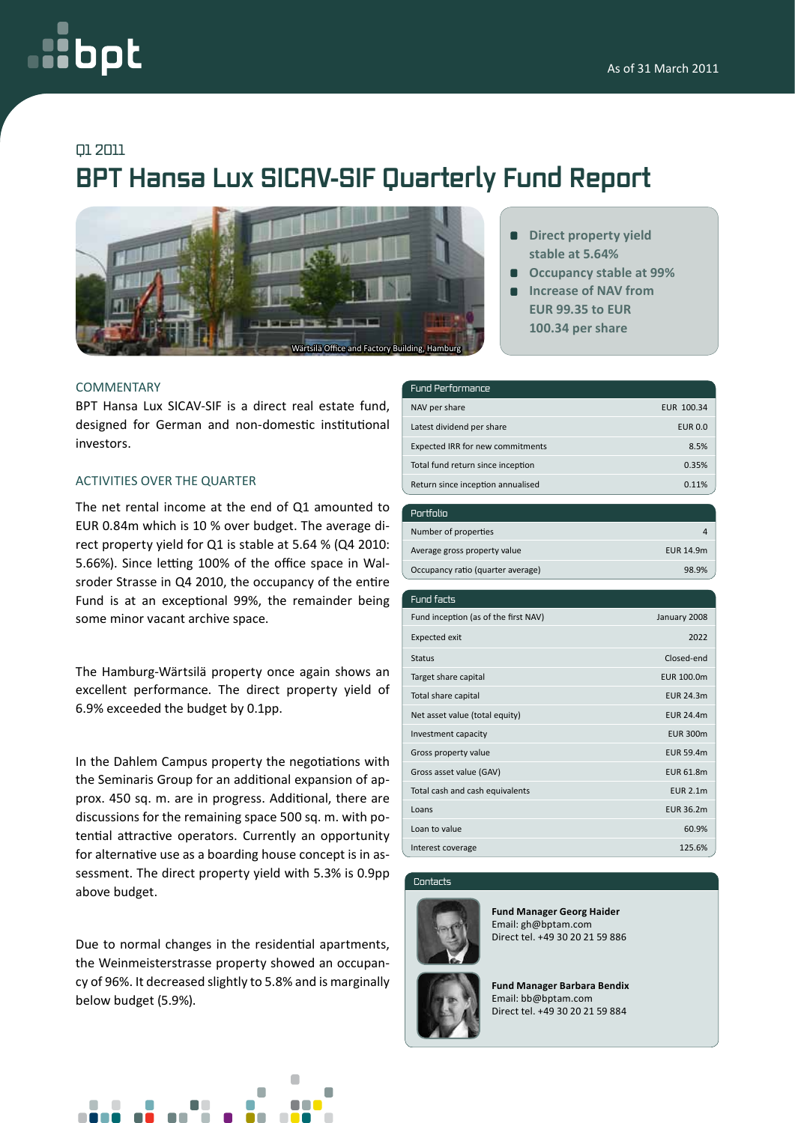# oc

### Q1 2011

## **BPT Hansa Lux SICAV-SIF Quarterly Fund Report**



#### **COMMENTARY**

BPT Hansa Lux SICAV-SIF is a direct real estate fund, designed for German and non-domestic institutional investors.

#### Activities over the quarter

The net rental income at the end of Q1 amounted to EUR 0.84m which is 10 % over budget. The average direct property yield for Q1 is stable at 5.64 % (Q4 2010: 5.66%). Since letting 100% of the office space in Walsroder Strasse in Q4 2010, the occupancy of the entire Fund is at an exceptional 99%, the remainder being some minor vacant archive space.

The Hamburg-Wärtsilä property once again shows an excellent performance. The direct property yield of 6.9% exceeded the budget by 0.1pp.

In the Dahlem Campus property the negotiations with the Seminaris Group for an additional expansion of approx. 450 sq. m. are in progress. Additional, there are discussions for the remaining space 500 sq. m. with potential attractive operators. Currently an opportunity for alternative use as a boarding house concept is in assessment. The direct property yield with 5.3% is 0.9pp above budget.

Due to normal changes in the residential apartments, the Weinmeisterstrasse property showed an occupancy of 96%. It decreased slightly to 5.8% and is marginally below budget (5.9%).



- **Direct property yield stable at 5.64%**
- **Occupancy stable at 99%**
- **Increase of NAV from EUR 99.35 to EUR 100.34 per share**

#### Fund Performance

| NAV per share                     | EUR 100.34     |
|-----------------------------------|----------------|
| Latest dividend per share         | <b>EUR 0.0</b> |
| Expected IRR for new commitments  | 8.5%           |
| Total fund return since inception | 0.35%          |
| Return since inception annualised | 0.11%          |

| Portfolio                         |           |
|-----------------------------------|-----------|
| Number of properties              |           |
| Average gross property value      | EUR 14.9m |
| Occupancy ratio (quarter average) | 98.9%     |

| Fund facts                           |                   |
|--------------------------------------|-------------------|
| Fund inception (as of the first NAV) | January 2008      |
| <b>Expected exit</b>                 | 2022              |
| <b>Status</b>                        | Closed-end        |
| Target share capital                 | <b>EUR 100.0m</b> |
| Total share capital                  | <b>EUR 24.3m</b>  |
| Net asset value (total equity)       | <b>EUR 24.4m</b>  |
| Investment capacity                  | <b>EUR 300m</b>   |
| Gross property value                 | <b>EUR 59.4m</b>  |
| Gross asset value (GAV)              | <b>EUR 61.8m</b>  |
| Total cash and cash equivalents      | <b>EUR 2.1m</b>   |
| Loans                                | EUR 36.2m         |
| Loan to value                        | 60.9%             |
| Interest coverage                    | 125.6%            |

#### Contacts



**Fund Manager Georg Haider** Email: gh@bptam.com Direct tel. +49 30 20 21 59 886



**Fund Manager Barbara Bendix** Email: bb@bptam.com Direct tel. +49 30 20 21 59 884